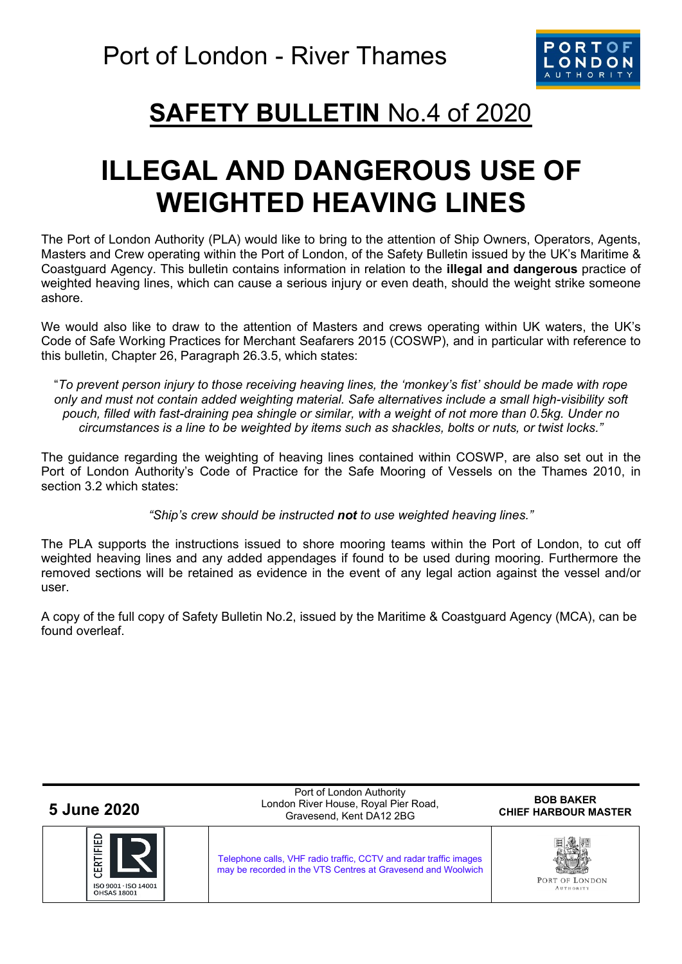

## **SAFETY BULLETIN** No.4 of 2020

## **ILLEGAL AND DANGEROUS USE OF WEIGHTED HEAVING LINES**

The Port of London Authority (PLA) would like to bring to the attention of Ship Owners, Operators, Agents, Masters and Crew operating within the Port of London, of the Safety Bulletin issued by the UK's Maritime & Coastguard Agency. This bulletin contains information in relation to the **illegal and dangerous** practice of weighted heaving lines, which can cause a serious injury or even death, should the weight strike someone ashore.

We would also like to draw to the attention of Masters and crews operating within UK waters, the UK's Code of Safe Working Practices for Merchant Seafarers 2015 (COSWP), and in particular with reference to this bulletin, Chapter 26, Paragraph 26.3.5, which states:

"*To prevent person injury to those receiving heaving lines, the 'monkey's fist' should be made with rope only and must not contain added weighting material. Safe alternatives include a small high-visibility soft pouch, filled with fast-draining pea shingle or similar, with a weight of not more than 0.5kg. Under no circumstances is a line to be weighted by items such as shackles, bolts or nuts, or twist locks."*

The guidance regarding the weighting of heaving lines contained within COSWP, are also set out in the Port of London Authority's Code of Practice for the Safe Mooring of Vessels on the Thames 2010, in section 3.2 which states:

*"Ship's crew should be instructed not to use weighted heaving lines."*

The PLA supports the instructions issued to shore mooring teams within the Port of London, to cut off weighted heaving lines and any added appendages if found to be used during mooring. Furthermore the removed sections will be retained as evidence in the event of any legal action against the vessel and/or user.

A copy of the full copy of Safety Bulletin No.2, issued by the Maritime & Coastguard Agency (MCA), can be found overleaf.